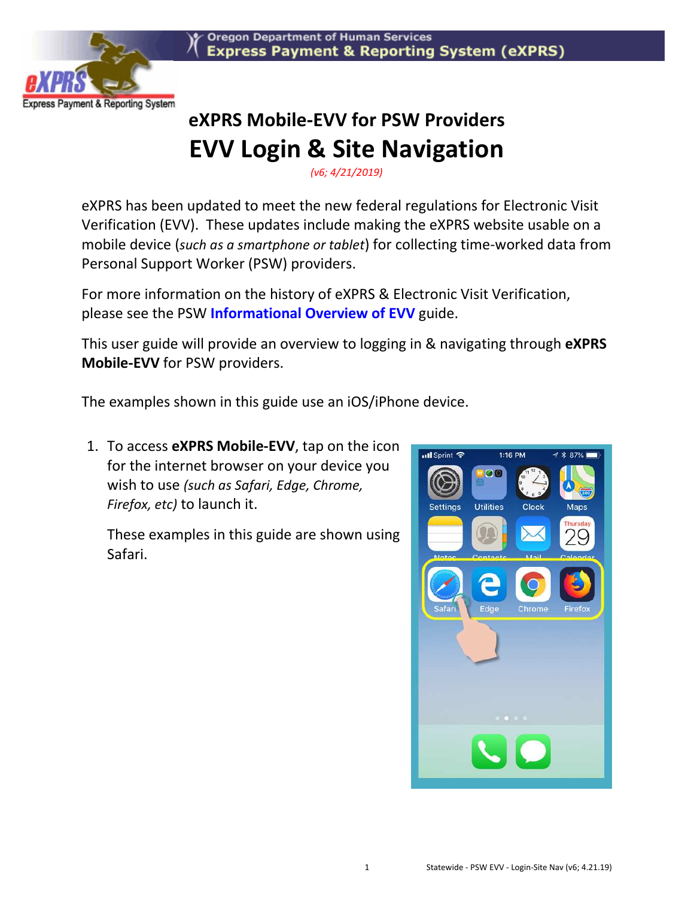



## **eXPRS Mobile-EVV for PSW Providers EVV Login & Site Navigation**

*(v6; 4/21/2019)* 

eXPRS has been updated to meet the new federal regulations for Electronic Visit Verification (EVV). These updates include making the eXPRS website usable on a mobile device (*such as a smartphone or tablet*) for collecting time-worked data from Personal Support Worker (PSW) providers.

For more information on the history of eXPRS & Electronic Visit Verification, please see the PSW **Informational Overview of EVV** guide.

This user guide will provide an overview to logging in & navigating through **eXPRS Mobile-EVV** for PSW providers.

The examples shown in this guide use an iOS/iPhone device.

1. To access **eXPRS Mobile-EVV**, tap on the icon for the internet browser on your device you wish to use *(such as Safari, Edge, Chrome, Firefox, etc)* to launch it.

These examples in this guide are shown using Safari.

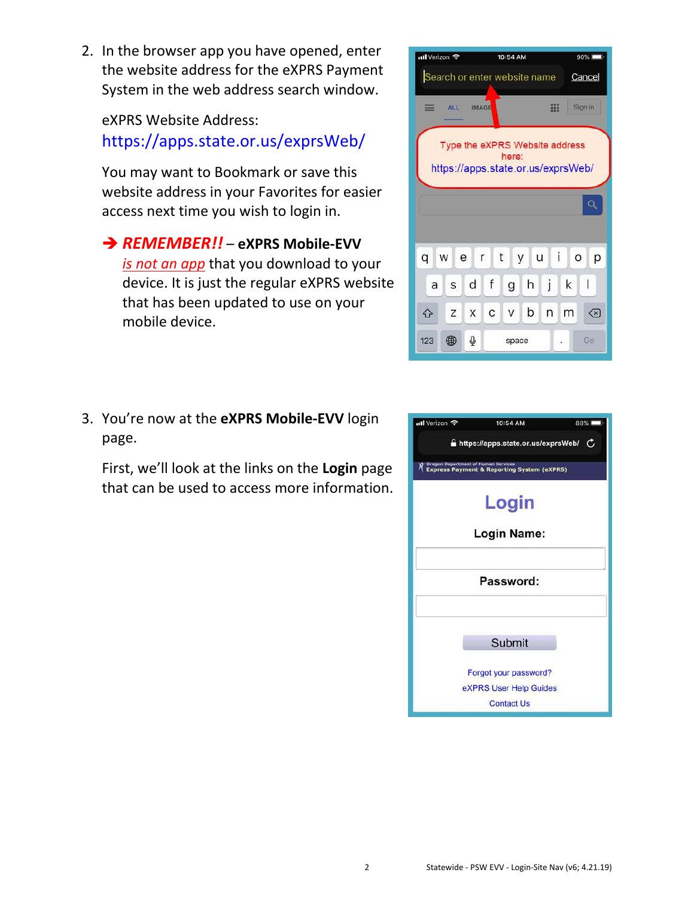2. In the browser app you have opened, enter the website address for the eXPRS Payment System in the web address search window.

eXPRS Website Address: https://apps.state.or.us/exprsWeb/

You may want to Bookmark or save this website address in your Favorites for easier access next time you wish to login in.

**→ REMEMBER!!** – eXPRS Mobile-EVV *is not an app* that you download to your device. It is just the regular eXPRS website that has been updated to use on your mobile device.

3. You're now at the **eXPRS Mobile-EVV** login page.

First, we'll look at the links on the **Login** page that can be used to access more information.



| ull Verizon 후                              | 10:54 AM                                              | 88% |  |  |  |
|--------------------------------------------|-------------------------------------------------------|-----|--|--|--|
|                                            | A https://apps.state.or.us/exprsWeb/ C                |     |  |  |  |
| <b>Oregon Department of Human Services</b> | <b>Express Payment &amp; Reporting System (eXPRS)</b> |     |  |  |  |
|                                            | Login                                                 |     |  |  |  |
|                                            | <b>Login Name:</b>                                    |     |  |  |  |
| Password:                                  |                                                       |     |  |  |  |
|                                            | Submit                                                |     |  |  |  |
|                                            | Forgot your password?                                 |     |  |  |  |
|                                            | eXPRS User Help Guides                                |     |  |  |  |
|                                            | <b>Contact Us</b>                                     |     |  |  |  |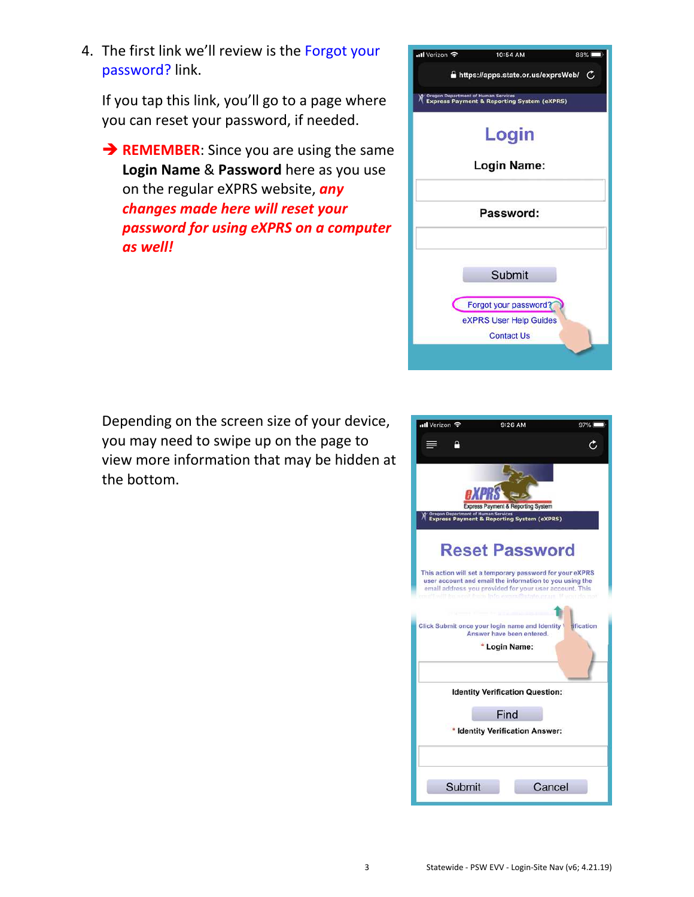3 Statewide - PSW EVV - Login-Site Nav (v6; 4.21.19)

4. The first link we'll review is the Forgot your password? link.

If you tap this link, you'll go to a page where you can reset your password, if needed.

**REMEMBER:** Since you are using the same **Login Name** & **Password** here as you use on the regular eXPRS website, *any changes made here will reset your password for using eXPRS on a computer as well!*

Depending on the screen size of your device, you may need to swipe up on the page to view more information that may be hidden at the bottom.



10:54 AM

88%

nil Verizon <mark>수</mark>

| <b>AXPR</b><br>Express Payment & Reporting System<br><b>Oregon Department of Human Services</b><br><b>Express Payment &amp; Reporting System (eXPRS)</b>                                                                                                            |
|---------------------------------------------------------------------------------------------------------------------------------------------------------------------------------------------------------------------------------------------------------------------|
| <b>Reset Password</b><br>This action will set a temporary password for your eXPRS<br>user account and email the information to you using the<br>email address you provided for your user account. This<br>if will be sent from info overaftels or us. If you do not |
| Click Submit once your login name and Identity \ rification<br>Answer have been entered.<br><b>Login Name:</b>                                                                                                                                                      |
| <b>Identity Verification Question:</b><br>Find<br><b>Identity Verification Answer:</b>                                                                                                                                                                              |
| Submit<br>Cancel                                                                                                                                                                                                                                                    |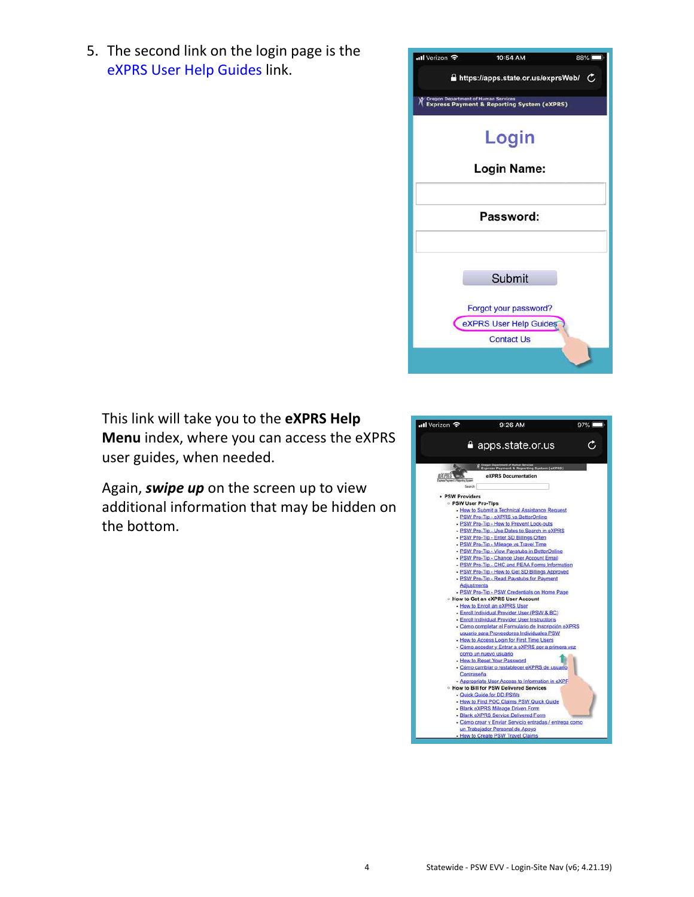5. The second link on the login page is the eXPRS User Help Guides link.



This link will take you to the **eXPRS Help Menu** index, where you can access the eXPRS user guides, when needed.

Again, *swipe up* on the screen up to view additional information that may be hidden on the bottom.

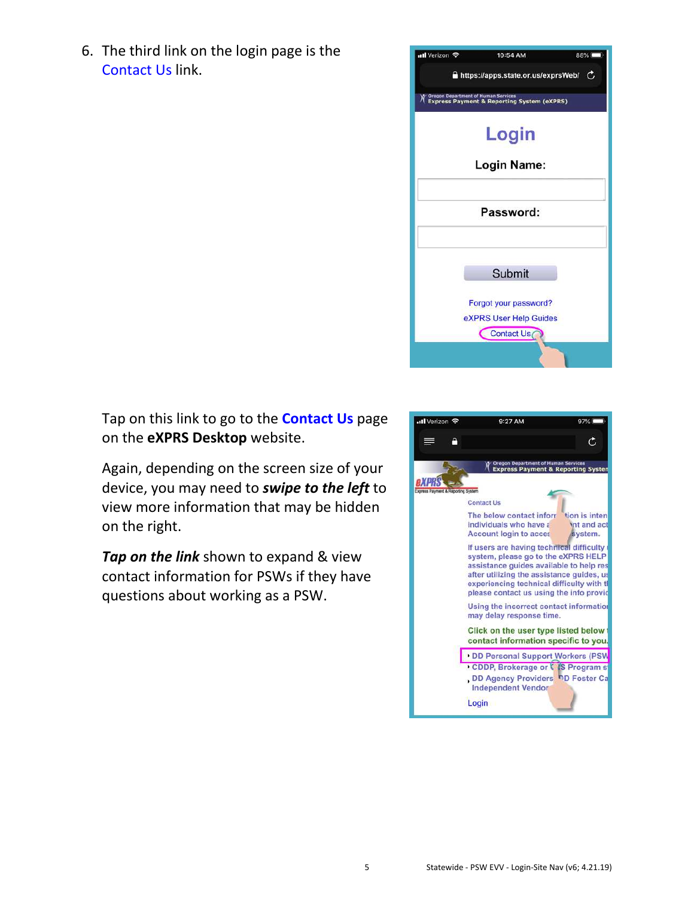6. The third link on the login page is the Contact Us link.



Tap on this link to go to the **Contact Us** page on the **eXPRS Desktop** website.

Again, depending on the screen size of your device, you may need to *swipe to the left* to view more information that may be hidden on the right.

*Tap on the link* shown to expand & view contact information for PSWs if they have questions about working as a PSW.

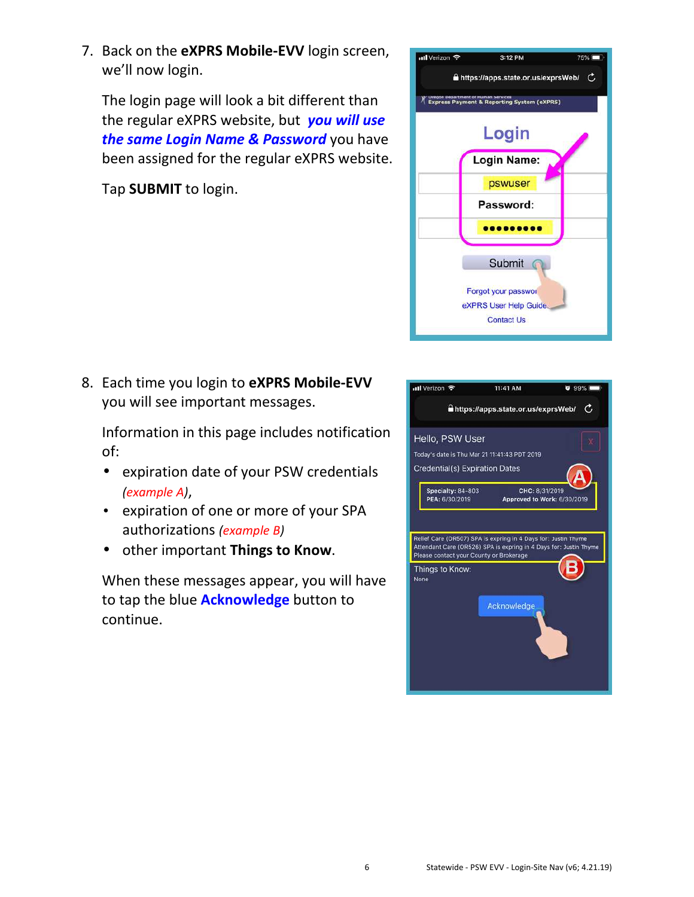7. Back on the **eXPRS Mobile-EVV** login screen, we'll now login.

The login page will look a bit different than the regular eXPRS website, but *you will use the same Login Name & Password* you have been assigned for the regular eXPRS website.

Tap **SUBMIT** to login.



8. Each time you login to **eXPRS Mobile-EVV** you will see important messages.

Information in this page includes notification of:

- expiration date of your PSW credentials *(example A)*,
- expiration of one or more of your SPA authorizations *(example B)*
- other important **Things to Know**.

When these messages appear, you will have to tap the blue **Acknowledge** button to continue.

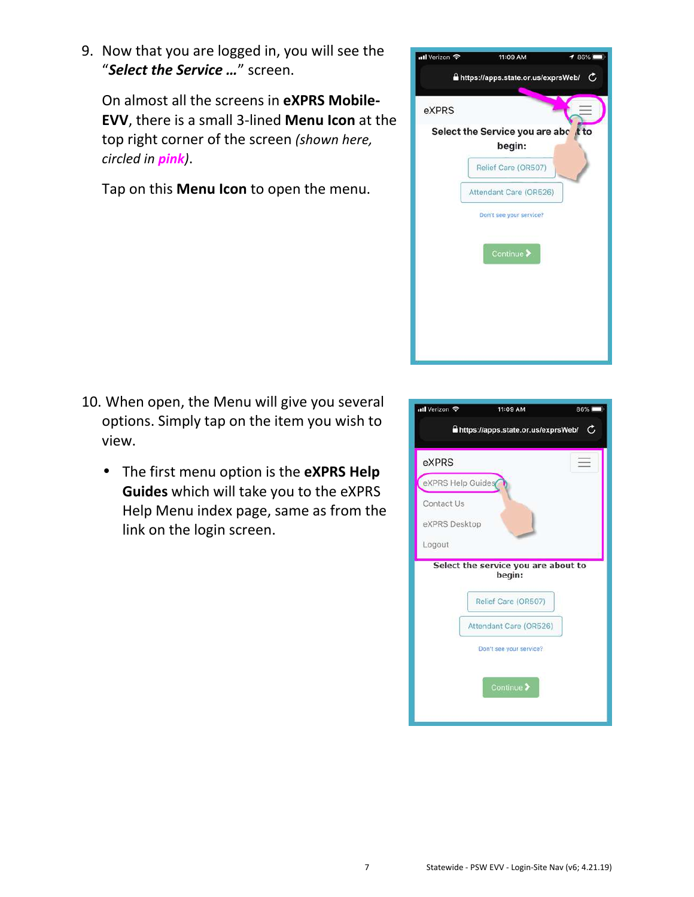9. Now that you are logged in, you will see the "*Select the Service …*" screen.

On almost all the screens in **eXPRS Mobile-EVV**, there is a small 3-lined **Menu Icon** at the top right corner of the screen *(shown here, circled in pink)*.

Tap on this **Menu Icon** to open the menu.



- 10. When open, the Menu will give you several options. Simply tap on the item you wish to view.
	- The first menu option is the **eXPRS Help Guides** which will take you to the eXPRS Help Menu index page, same as from the link on the login screen.

| ntl Verizon 후                         | 11:09 AM                                                             | 86% |
|---------------------------------------|----------------------------------------------------------------------|-----|
|                                       | https://apps.state.or.us/exprsWeb/                                   | C   |
| eXPRS                                 |                                                                      |     |
| eXPRS Help Guides                     |                                                                      |     |
| Contact Us<br>eXPRS Desktop<br>Logout |                                                                      |     |
|                                       | Select the service you are about to<br>begin:<br>Relief Care (OR507) |     |
|                                       | Attendant Care (OR526)<br>Don't see your service?<br>Continue >      |     |
|                                       |                                                                      |     |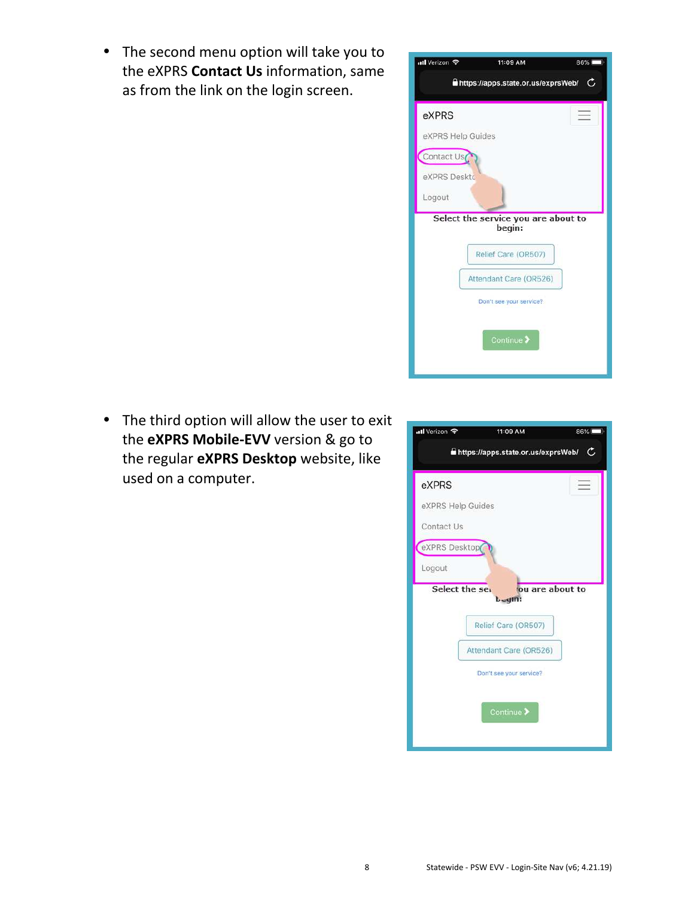• The second menu option will take you to the eXPRS **Contact Us** information, same as from the link on the login screen.



• The third option will allow the user to exit the **eXPRS Mobile-EVV** version & go to the regular **eXPRS Desktop** website, like used on a computer.

| ull Verizon 후                           | 11:09 AM                                        | 86% |  |  |
|-----------------------------------------|-------------------------------------------------|-----|--|--|
| https://apps.state.or.us/exprsWeb/<br>G |                                                 |     |  |  |
| eXPRS                                   |                                                 |     |  |  |
| eXPRS Help Guides                       |                                                 |     |  |  |
| Contact Us                              |                                                 |     |  |  |
| eXPRS Desktop                           |                                                 |     |  |  |
| Logout                                  |                                                 |     |  |  |
|                                         | Select the set<br>ou are about to<br>$b =$ qin: |     |  |  |
|                                         | Relief Care (OR507)                             |     |  |  |
| Attendant Care (OR526)                  |                                                 |     |  |  |
| Don't see your service?                 |                                                 |     |  |  |
|                                         | Continue >                                      |     |  |  |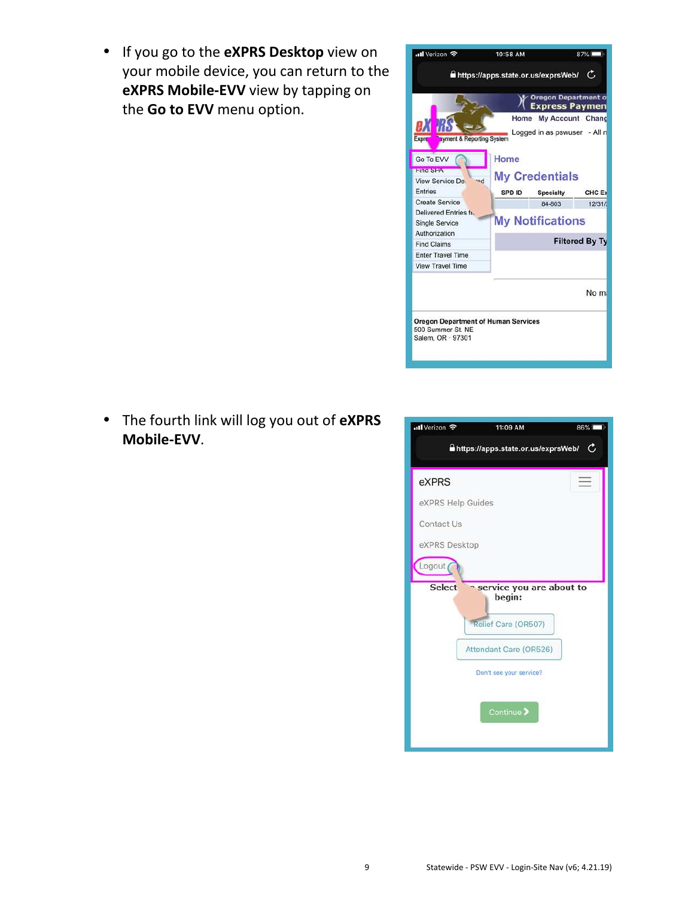• If you go to the **eXPRS Desktop** view on your mobile device, you can return to the **eXPRS Mobile-EVV** view by tapping on the **Go to EVV** menu option.



• The fourth link will log you out of **eXPRS Mobile-EVV**.

| nil Verizon 후                           | 11:09 AM                           | 86% |  |  |
|-----------------------------------------|------------------------------------|-----|--|--|
| https://apps.state.or.us/exprsWeb/<br>C |                                    |     |  |  |
| eXPRS                                   |                                    |     |  |  |
| eXPRS Help Guides                       |                                    |     |  |  |
| Contact Us                              |                                    |     |  |  |
| eXPRS Desktop                           |                                    |     |  |  |
| Logout                                  |                                    |     |  |  |
| <b>Select</b>                           | service you are about to<br>begin: |     |  |  |
|                                         | Relief Care (OR507)                |     |  |  |
|                                         | Attendant Care (OR526)             |     |  |  |
|                                         | Don't see your service?            |     |  |  |
|                                         |                                    |     |  |  |
|                                         | Continue >                         |     |  |  |
|                                         |                                    |     |  |  |